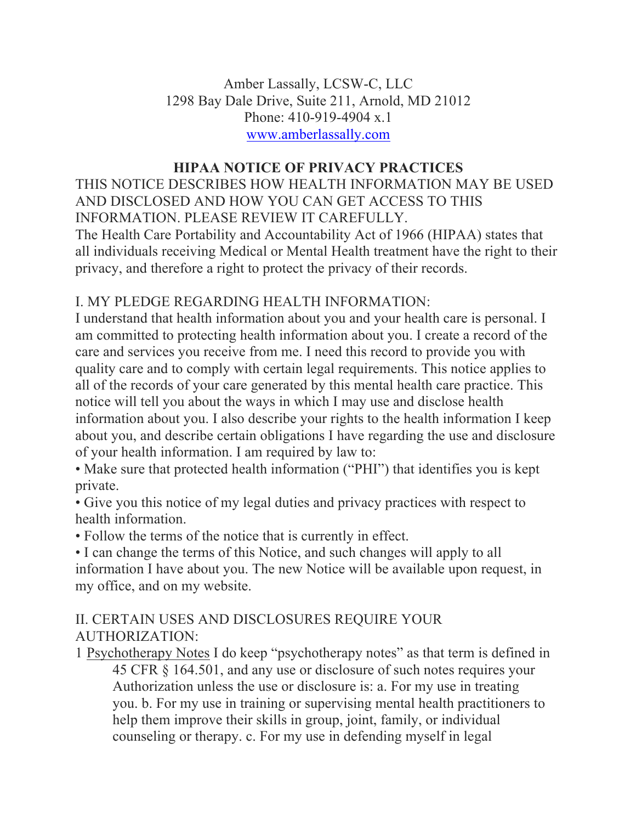Amber Lassally, LCSW-C, LLC 1298 Bay Dale Drive, Suite 211, Arnold, MD 21012 Phone: 410-919-4904 x.1 www.amberlassally.com

# **HIPAA NOTICE OF PRIVACY PRACTICES**

THIS NOTICE DESCRIBES HOW HEALTH INFORMATION MAY BE USED AND DISCLOSED AND HOW YOU CAN GET ACCESS TO THIS INFORMATION. PLEASE REVIEW IT CAREFULLY. The Health Care Portability and Accountability Act of 1966 (HIPAA) states that all individuals receiving Medical or Mental Health treatment have the right to their privacy, and therefore a right to protect the privacy of their records.

## I. MY PLEDGE REGARDING HEALTH INFORMATION:

I understand that health information about you and your health care is personal. I am committed to protecting health information about you. I create a record of the care and services you receive from me. I need this record to provide you with quality care and to comply with certain legal requirements. This notice applies to all of the records of your care generated by this mental health care practice. This notice will tell you about the ways in which I may use and disclose health information about you. I also describe your rights to the health information I keep about you, and describe certain obligations I have regarding the use and disclosure of your health information. I am required by law to:

• Make sure that protected health information ("PHI") that identifies you is kept private.

• Give you this notice of my legal duties and privacy practices with respect to health information.

• Follow the terms of the notice that is currently in effect.

• I can change the terms of this Notice, and such changes will apply to all information I have about you. The new Notice will be available upon request, in my office, and on my website.

### II. CERTAIN USES AND DISCLOSURES REQUIRE YOUR AUTHORIZATION:

1 Psychotherapy Notes I do keep "psychotherapy notes" as that term is defined in 45 CFR § 164.501, and any use or disclosure of such notes requires your Authorization unless the use or disclosure is: a. For my use in treating you. b. For my use in training or supervising mental health practitioners to help them improve their skills in group, joint, family, or individual counseling or therapy. c. For my use in defending myself in legal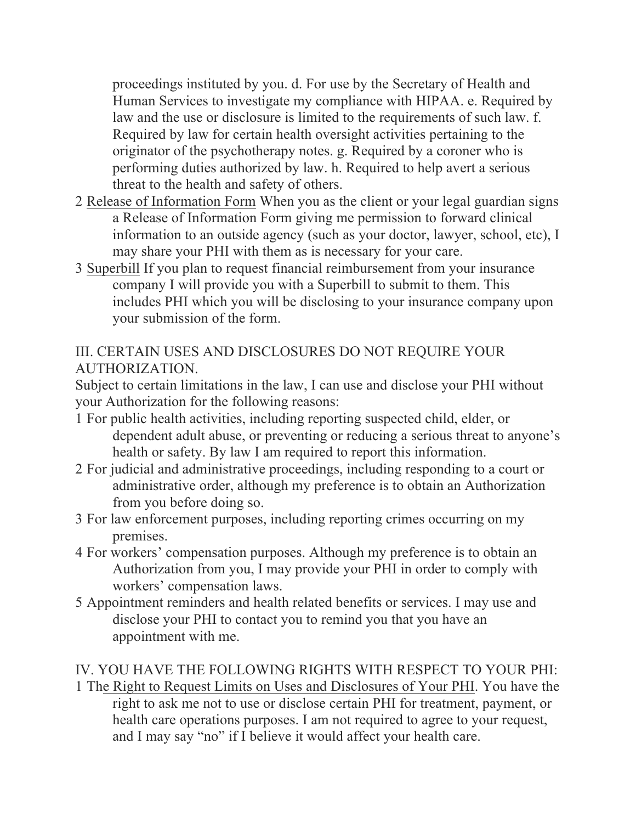proceedings instituted by you. d. For use by the Secretary of Health and Human Services to investigate my compliance with HIPAA. e. Required by law and the use or disclosure is limited to the requirements of such law. f. Required by law for certain health oversight activities pertaining to the originator of the psychotherapy notes. g. Required by a coroner who is performing duties authorized by law. h. Required to help avert a serious threat to the health and safety of others.

- 2 Release of Information Form When you as the client or your legal guardian signs a Release of Information Form giving me permission to forward clinical information to an outside agency (such as your doctor, lawyer, school, etc), I may share your PHI with them as is necessary for your care.
- 3 Superbill If you plan to request financial reimbursement from your insurance company I will provide you with a Superbill to submit to them. This includes PHI which you will be disclosing to your insurance company upon your submission of the form.

III. CERTAIN USES AND DISCLOSURES DO NOT REQUIRE YOUR AUTHORIZATION.

Subject to certain limitations in the law, I can use and disclose your PHI without your Authorization for the following reasons:

- 1 For public health activities, including reporting suspected child, elder, or dependent adult abuse, or preventing or reducing a serious threat to anyone's health or safety. By law I am required to report this information.
- 2 For judicial and administrative proceedings, including responding to a court or administrative order, although my preference is to obtain an Authorization from you before doing so.
- 3 For law enforcement purposes, including reporting crimes occurring on my premises.
- 4 For workers' compensation purposes. Although my preference is to obtain an Authorization from you, I may provide your PHI in order to comply with workers' compensation laws.
- 5 Appointment reminders and health related benefits or services. I may use and disclose your PHI to contact you to remind you that you have an appointment with me.

## IV. YOU HAVE THE FOLLOWING RIGHTS WITH RESPECT TO YOUR PHI:

1 The Right to Request Limits on Uses and Disclosures of Your PHI. You have the right to ask me not to use or disclose certain PHI for treatment, payment, or health care operations purposes. I am not required to agree to your request, and I may say "no" if I believe it would affect your health care.